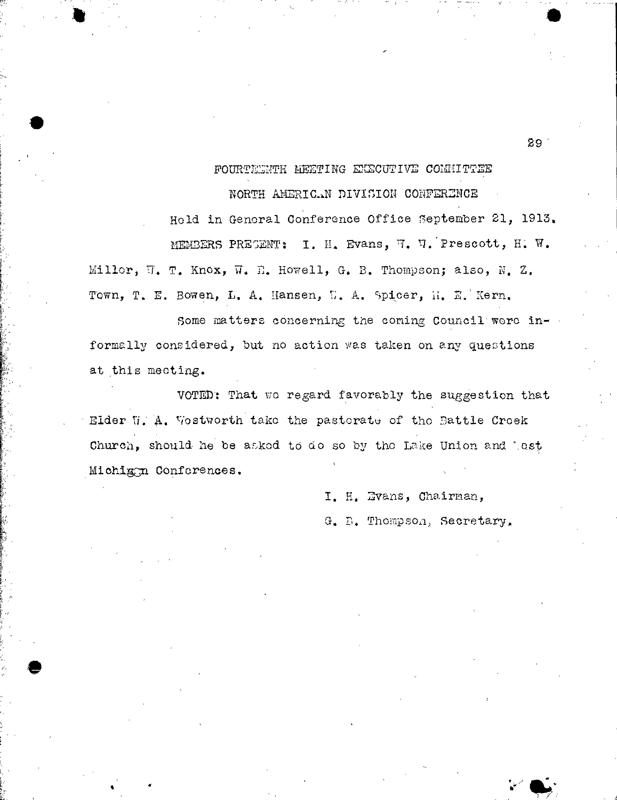FOURTEEYTH MEETING EXECUTIVE COMIUTTEE

NORTH AMEFICaN DIVISION CONFERENCE

Hold in Genoral Conference Office September 21, 1913. MEMBERS PRESENT: I. H. Evans, 7. '4:Prescott, H. W. Millor, W. T. Knox, W. E. Howell, G. B. Thompson; also, N. Z. Town, T. E. Bowen, L. A. Hansen, U. A. Spicer, M. E. Kern.

•

Some matters concerning the coming Council were informally considered, but no action was taken on any questions at this meeting.

VOTED': That we regard favorably the suggestion that Elder U. A. Vestworth take the pastorate of the Battle Creek Church, should he be asked to do so by the Lake Union and lest Michig:n Conferences.

> I. H. Evans, Chairman, G. P. Thompson, Secretary.

29